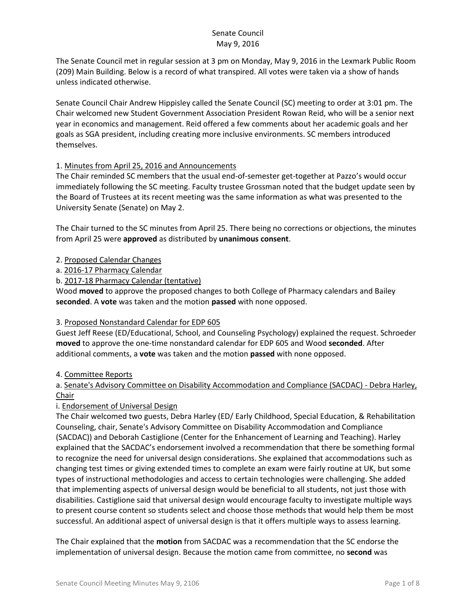The Senate Council met in regular session at 3 pm on Monday, May 9, 2016 in the Lexmark Public Room (209) Main Building. Below is a record of what transpired. All votes were taken via a show of hands unless indicated otherwise.

Senate Council Chair Andrew Hippisley called the Senate Council (SC) meeting to order at 3:01 pm. The Chair welcomed new Student Government Association President Rowan Reid, who will be a senior next year in economics and management. Reid offered a few comments about her academic goals and her goals as SGA president, including creating more inclusive environments. SC members introduced themselves.

## 1. Minutes from April 25, 2016 and Announcements

The Chair reminded SC members that the usual end-of-semester get-together at Pazzo's would occur immediately following the SC meeting. Faculty trustee Grossman noted that the budget update seen by the Board of Trustees at its recent meeting was the same information as what was presented to the University Senate (Senate) on May 2.

The Chair turned to the SC minutes from April 25. There being no corrections or objections, the minutes from April 25 were **approved** as distributed by **unanimous consent**.

- 2. Proposed Calendar Changes
- a. 2016-17 Pharmacy Calendar
- b. 2017-18 Pharmacy Calendar (tentative)

Wood **moved** to approve the proposed changes to both College of Pharmacy calendars and Bailey **seconded**. A **vote** was taken and the motion **passed** with none opposed.

## 3. Proposed Nonstandard Calendar for EDP 605

Guest Jeff Reese (ED/Educational, School, and Counseling Psychology) explained the request. Schroeder **moved** to approve the one-time nonstandard calendar for EDP 605 and Wood **seconded**. After additional comments, a **vote** was taken and the motion **passed** with none opposed.

## 4. Committee Reports

# a. Senate's Advisory Committee on Disability Accommodation and Compliance (SACDAC) - Debra Harley, Chair

## i. Endorsement of Universal Design

The Chair welcomed two guests, Debra Harley (ED/ Early Childhood, Special Education, & Rehabilitation Counseling, chair, Senate's Advisory Committee on Disability Accommodation and Compliance (SACDAC)) and Deborah Castiglione (Center for the Enhancement of Learning and Teaching). Harley explained that the SACDAC's endorsement involved a recommendation that there be something formal to recognize the need for universal design considerations. She explained that accommodations such as changing test times or giving extended times to complete an exam were fairly routine at UK, but some types of instructional methodologies and access to certain technologies were challenging. She added that implementing aspects of universal design would be beneficial to all students, not just those with disabilities. Castiglione said that universal design would encourage faculty to investigate multiple ways to present course content so students select and choose those methods that would help them be most successful. An additional aspect of universal design is that it offers multiple ways to assess learning.

The Chair explained that the **motion** from SACDAC was a recommendation that the SC endorse the implementation of universal design. Because the motion came from committee, no **second** was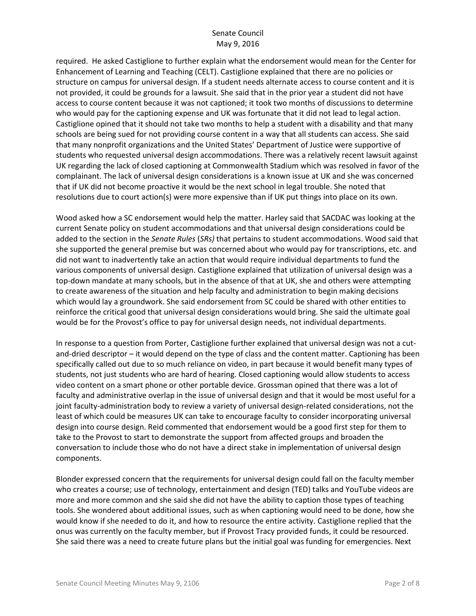required. He asked Castiglione to further explain what the endorsement would mean for the Center for Enhancement of Learning and Teaching (CELT). Castiglione explained that there are no policies or structure on campus for universal design. If a student needs alternate access to course content and it is not provided, it could be grounds for a lawsuit. She said that in the prior year a student did not have access to course content because it was not captioned; it took two months of discussions to determine who would pay for the captioning expense and UK was fortunate that it did not lead to legal action. Castiglione opined that it should not take two months to help a student with a disability and that many schools are being sued for not providing course content in a way that all students can access. She said that many nonprofit organizations and the United States' Department of Justice were supportive of students who requested universal design accommodations. There was a relatively recent lawsuit against UK regarding the lack of closed captioning at Commonwealth Stadium which was resolved in favor of the complainant. The lack of universal design considerations is a known issue at UK and she was concerned that if UK did not become proactive it would be the next school in legal trouble. She noted that resolutions due to court action(s) were more expensive than if UK put things into place on its own.

Wood asked how a SC endorsement would help the matter. Harley said that SACDAC was looking at the current Senate policy on student accommodations and that universal design considerations could be added to the section in the *Senate Rules* (*SRs)* that pertains to student accommodations. Wood said that she supported the general premise but was concerned about who would pay for transcriptions, etc. and did not want to inadvertently take an action that would require individual departments to fund the various components of universal design. Castiglione explained that utilization of universal design was a top-down mandate at many schools, but in the absence of that at UK, she and others were attempting to create awareness of the situation and help faculty and administration to begin making decisions which would lay a groundwork. She said endorsement from SC could be shared with other entities to reinforce the critical good that universal design considerations would bring. She said the ultimate goal would be for the Provost's office to pay for universal design needs, not individual departments.

In response to a question from Porter, Castiglione further explained that universal design was not a cutand-dried descriptor – it would depend on the type of class and the content matter. Captioning has been specifically called out due to so much reliance on video, in part because it would benefit many types of students, not just students who are hard of hearing. Closed captioning would allow students to access video content on a smart phone or other portable device. Grossman opined that there was a lot of faculty and administrative overlap in the issue of universal design and that it would be most useful for a joint faculty-administration body to review a variety of universal design-related considerations, not the least of which could be measures UK can take to encourage faculty to consider incorporating universal design into course design. Reid commented that endorsement would be a good first step for them to take to the Provost to start to demonstrate the support from affected groups and broaden the conversation to include those who do not have a direct stake in implementation of universal design components.

Blonder expressed concern that the requirements for universal design could fall on the faculty member who creates a course; use of technology, entertainment and design (TED) talks and YouTube videos are more and more common and she said she did not have the ability to caption those types of teaching tools. She wondered about additional issues, such as when captioning would need to be done, how she would know if she needed to do it, and how to resource the entire activity. Castiglione replied that the onus was currently on the faculty member, but if Provost Tracy provided funds, it could be resourced. She said there was a need to create future plans but the initial goal was funding for emergencies. Next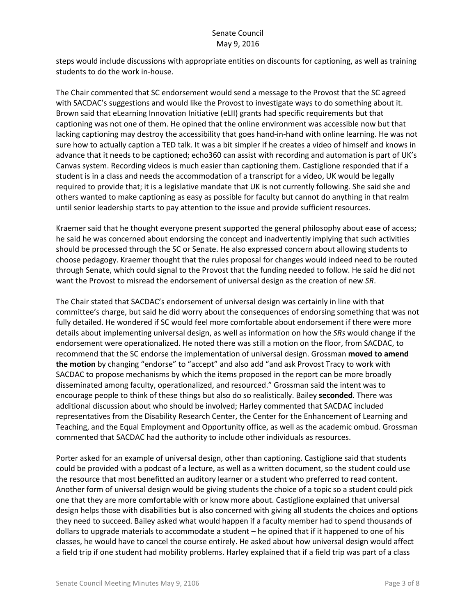steps would include discussions with appropriate entities on discounts for captioning, as well as training students to do the work in-house.

The Chair commented that SC endorsement would send a message to the Provost that the SC agreed with SACDAC's suggestions and would like the Provost to investigate ways to do something about it. Brown said that eLearning Innovation Initiative (eLII) grants had specific requirements but that captioning was not one of them. He opined that the online environment was accessible now but that lacking captioning may destroy the accessibility that goes hand-in-hand with online learning. He was not sure how to actually caption a TED talk. It was a bit simpler if he creates a video of himself and knows in advance that it needs to be captioned; echo360 can assist with recording and automation is part of UK's Canvas system. Recording videos is much easier than captioning them. Castiglione responded that if a student is in a class and needs the accommodation of a transcript for a video, UK would be legally required to provide that; it is a legislative mandate that UK is not currently following. She said she and others wanted to make captioning as easy as possible for faculty but cannot do anything in that realm until senior leadership starts to pay attention to the issue and provide sufficient resources.

Kraemer said that he thought everyone present supported the general philosophy about ease of access; he said he was concerned about endorsing the concept and inadvertently implying that such activities should be processed through the SC or Senate. He also expressed concern about allowing students to choose pedagogy. Kraemer thought that the rules proposal for changes would indeed need to be routed through Senate, which could signal to the Provost that the funding needed to follow. He said he did not want the Provost to misread the endorsement of universal design as the creation of new *SR*.

The Chair stated that SACDAC's endorsement of universal design was certainly in line with that committee's charge, but said he did worry about the consequences of endorsing something that was not fully detailed. He wondered if SC would feel more comfortable about endorsement if there were more details about implementing universal design, as well as information on how the *SRs* would change if the endorsement were operationalized. He noted there was still a motion on the floor, from SACDAC, to recommend that the SC endorse the implementation of universal design. Grossman **moved to amend the motion** by changing "endorse" to "accept" and also add "and ask Provost Tracy to work with SACDAC to propose mechanisms by which the items proposed in the report can be more broadly disseminated among faculty, operationalized, and resourced." Grossman said the intent was to encourage people to think of these things but also do so realistically. Bailey **seconded**. There was additional discussion about who should be involved; Harley commented that SACDAC included representatives from the Disability Research Center, the Center for the Enhancement of Learning and Teaching, and the Equal Employment and Opportunity office, as well as the academic ombud. Grossman commented that SACDAC had the authority to include other individuals as resources.

Porter asked for an example of universal design, other than captioning. Castiglione said that students could be provided with a podcast of a lecture, as well as a written document, so the student could use the resource that most benefitted an auditory learner or a student who preferred to read content. Another form of universal design would be giving students the choice of a topic so a student could pick one that they are more comfortable with or know more about. Castiglione explained that universal design helps those with disabilities but is also concerned with giving all students the choices and options they need to succeed. Bailey asked what would happen if a faculty member had to spend thousands of dollars to upgrade materials to accommodate a student – he opined that if it happened to one of his classes, he would have to cancel the course entirely. He asked about how universal design would affect a field trip if one student had mobility problems. Harley explained that if a field trip was part of a class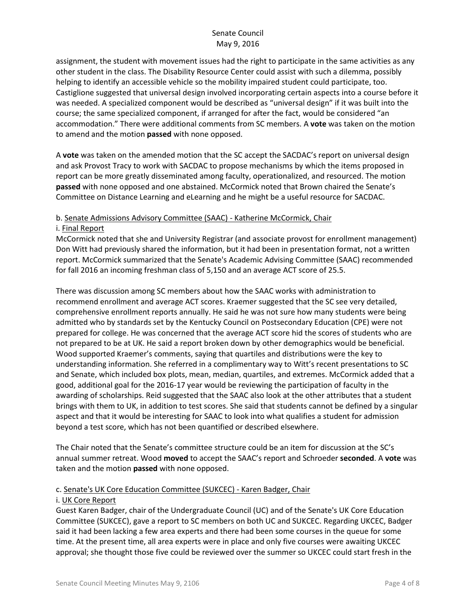assignment, the student with movement issues had the right to participate in the same activities as any other student in the class. The Disability Resource Center could assist with such a dilemma, possibly helping to identify an accessible vehicle so the mobility impaired student could participate, too. Castiglione suggested that universal design involved incorporating certain aspects into a course before it was needed. A specialized component would be described as "universal design" if it was built into the course; the same specialized component, if arranged for after the fact, would be considered "an accommodation." There were additional comments from SC members. A **vote** was taken on the motion to amend and the motion **passed** with none opposed.

A **vote** was taken on the amended motion that the SC accept the SACDAC's report on universal design and ask Provost Tracy to work with SACDAC to propose mechanisms by which the items proposed in report can be more greatly disseminated among faculty, operationalized, and resourced. The motion **passed** with none opposed and one abstained. McCormick noted that Brown chaired the Senate's Committee on Distance Learning and eLearning and he might be a useful resource for SACDAC.

# b. Senate Admissions Advisory Committee (SAAC) - Katherine McCormick, Chair

#### i. Final Report

McCormick noted that she and University Registrar (and associate provost for enrollment management) Don Witt had previously shared the information, but it had been in presentation format, not a written report. McCormick summarized that the Senate's Academic Advising Committee (SAAC) recommended for fall 2016 an incoming freshman class of 5,150 and an average ACT score of 25.5.

There was discussion among SC members about how the SAAC works with administration to recommend enrollment and average ACT scores. Kraemer suggested that the SC see very detailed, comprehensive enrollment reports annually. He said he was not sure how many students were being admitted who by standards set by the Kentucky Council on Postsecondary Education (CPE) were not prepared for college. He was concerned that the average ACT score hid the scores of students who are not prepared to be at UK. He said a report broken down by other demographics would be beneficial. Wood supported Kraemer's comments, saying that quartiles and distributions were the key to understanding information. She referred in a complimentary way to Witt's recent presentations to SC and Senate, which included box plots, mean, median, quartiles, and extremes. McCormick added that a good, additional goal for the 2016-17 year would be reviewing the participation of faculty in the awarding of scholarships. Reid suggested that the SAAC also look at the other attributes that a student brings with them to UK, in addition to test scores. She said that students cannot be defined by a singular aspect and that it would be interesting for SAAC to look into what qualifies a student for admission beyond a test score, which has not been quantified or described elsewhere.

The Chair noted that the Senate's committee structure could be an item for discussion at the SC's annual summer retreat. Wood **moved** to accept the SAAC's report and Schroeder **seconded**. A **vote** was taken and the motion **passed** with none opposed.

## c. Senate's UK Core Education Committee (SUKCEC) - Karen Badger, Chair

## i. UK Core Report

Guest Karen Badger, chair of the Undergraduate Council (UC) and of the Senate's UK Core Education Committee (SUKCEC), gave a report to SC members on both UC and SUKCEC. Regarding UKCEC, Badger said it had been lacking a few area experts and there had been some courses in the queue for some time. At the present time, all area experts were in place and only five courses were awaiting UKCEC approval; she thought those five could be reviewed over the summer so UKCEC could start fresh in the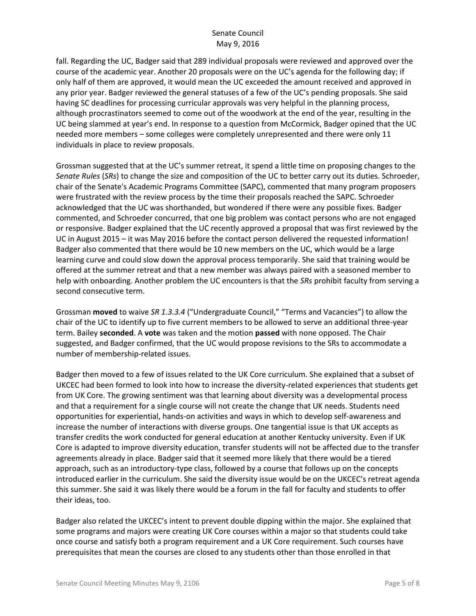fall. Regarding the UC, Badger said that 289 individual proposals were reviewed and approved over the course of the academic year. Another 20 proposals were on the UC's agenda for the following day; if only half of them are approved, it would mean the UC exceeded the amount received and approved in any prior year. Badger reviewed the general statuses of a few of the UC's pending proposals. She said having SC deadlines for processing curricular approvals was very helpful in the planning process, although procrastinators seemed to come out of the woodwork at the end of the year, resulting in the UC being slammed at year's end. In response to a question from McCormick, Badger opined that the UC needed more members – some colleges were completely unrepresented and there were only 11 individuals in place to review proposals.

Grossman suggested that at the UC's summer retreat, it spend a little time on proposing changes to the *Senate Rules* (*SRs*) to change the size and composition of the UC to better carry out its duties. Schroeder, chair of the Senate's Academic Programs Committee (SAPC), commented that many program proposers were frustrated with the review process by the time their proposals reached the SAPC. Schroeder acknowledged that the UC was shorthanded, but wondered if there were any possible fixes. Badger commented, and Schroeder concurred, that one big problem was contact persons who are not engaged or responsive. Badger explained that the UC recently approved a proposal that was first reviewed by the UC in August 2015 – it was May 2016 before the contact person delivered the requested information! Badger also commented that there would be 10 new members on the UC, which would be a large learning curve and could slow down the approval process temporarily. She said that training would be offered at the summer retreat and that a new member was always paired with a seasoned member to help with onboarding. Another problem the UC encounters is that the *SRs* prohibit faculty from serving a second consecutive term.

Grossman **moved** to waive *SR 1.3.3.4* ("Undergraduate Council," "Terms and Vacancies") to allow the chair of the UC to identify up to five current members to be allowed to serve an additional three-year term. Bailey **seconded**. A **vote** was taken and the motion **passed** with none opposed. The Chair suggested, and Badger confirmed, that the UC would propose revisions to the SRs to accommodate a number of membership-related issues.

Badger then moved to a few of issues related to the UK Core curriculum. She explained that a subset of UKCEC had been formed to look into how to increase the diversity-related experiences that students get from UK Core. The growing sentiment was that learning about diversity was a developmental process and that a requirement for a single course will not create the change that UK needs. Students need opportunities for experiential, hands-on activities and ways in which to develop self-awareness and increase the number of interactions with diverse groups. One tangential issue is that UK accepts as transfer credits the work conducted for general education at another Kentucky university. Even if UK Core is adapted to improve diversity education, transfer students will not be affected due to the transfer agreements already in place. Badger said that it seemed more likely that there would be a tiered approach, such as an introductory-type class, followed by a course that follows up on the concepts introduced earlier in the curriculum. She said the diversity issue would be on the UKCEC's retreat agenda this summer. She said it was likely there would be a forum in the fall for faculty and students to offer their ideas, too.

Badger also related the UKCEC's intent to prevent double dipping within the major. She explained that some programs and majors were creating UK Core courses within a major so that students could take once course and satisfy both a program requirement and a UK Core requirement. Such courses have prerequisites that mean the courses are closed to any students other than those enrolled in that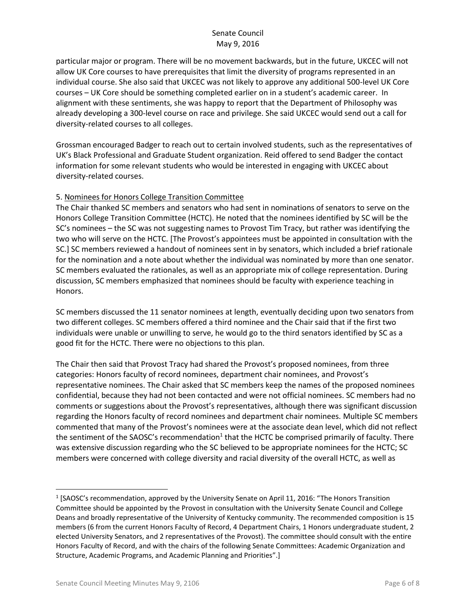particular major or program. There will be no movement backwards, but in the future, UKCEC will not allow UK Core courses to have prerequisites that limit the diversity of programs represented in an individual course. She also said that UKCEC was not likely to approve any additional 500-level UK Core courses – UK Core should be something completed earlier on in a student's academic career. In alignment with these sentiments, she was happy to report that the Department of Philosophy was already developing a 300-level course on race and privilege. She said UKCEC would send out a call for diversity-related courses to all colleges.

Grossman encouraged Badger to reach out to certain involved students, such as the representatives of UK's Black Professional and Graduate Student organization. Reid offered to send Badger the contact information for some relevant students who would be interested in engaging with UKCEC about diversity-related courses.

## 5. Nominees for Honors College Transition Committee

The Chair thanked SC members and senators who had sent in nominations of senators to serve on the Honors College Transition Committee (HCTC). He noted that the nominees identified by SC will be the SC's nominees – the SC was not suggesting names to Provost Tim Tracy, but rather was identifying the two who will serve on the HCTC. [The Provost's appointees must be appointed in consultation with the SC.] SC members reviewed a handout of nominees sent in by senators, which included a brief rationale for the nomination and a note about whether the individual was nominated by more than one senator. SC members evaluated the rationales, as well as an appropriate mix of college representation. During discussion, SC members emphasized that nominees should be faculty with experience teaching in Honors.

SC members discussed the 11 senator nominees at length, eventually deciding upon two senators from two different colleges. SC members offered a third nominee and the Chair said that if the first two individuals were unable or unwilling to serve, he would go to the third senators identified by SC as a good fit for the HCTC. There were no objections to this plan.

The Chair then said that Provost Tracy had shared the Provost's proposed nominees, from three categories: Honors faculty of record nominees, department chair nominees, and Provost's representative nominees. The Chair asked that SC members keep the names of the proposed nominees confidential, because they had not been contacted and were not official nominees. SC members had no comments or suggestions about the Provost's representatives, although there was significant discussion regarding the Honors faculty of record nominees and department chair nominees. Multiple SC members commented that many of the Provost's nominees were at the associate dean level, which did not reflect the sentiment of the SAOSC's recommendation<sup>1</sup> that the HCTC be comprised primarily of faculty. There was extensive discussion regarding who the SC believed to be appropriate nominees for the HCTC; SC members were concerned with college diversity and racial diversity of the overall HCTC, as well as

 $\overline{\phantom{a}}$ 

<sup>&</sup>lt;sup>1</sup> [SAOSC's recommendation, approved by the University Senate on April 11, 2016: "The Honors Transition Committee should be appointed by the Provost in consultation with the University Senate Council and College Deans and broadly representative of the University of Kentucky community. The recommended composition is 15 members (6 from the current Honors Faculty of Record, 4 Department Chairs, 1 Honors undergraduate student, 2 elected University Senators, and 2 representatives of the Provost). The committee should consult with the entire Honors Faculty of Record, and with the chairs of the following Senate Committees: Academic Organization and Structure, Academic Programs, and Academic Planning and Priorities".]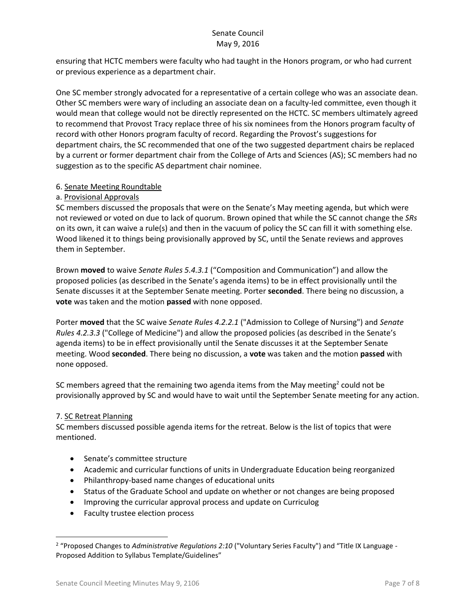ensuring that HCTC members were faculty who had taught in the Honors program, or who had current or previous experience as a department chair.

One SC member strongly advocated for a representative of a certain college who was an associate dean. Other SC members were wary of including an associate dean on a faculty-led committee, even though it would mean that college would not be directly represented on the HCTC. SC members ultimately agreed to recommend that Provost Tracy replace three of his six nominees from the Honors program faculty of record with other Honors program faculty of record. Regarding the Provost's suggestions for department chairs, the SC recommended that one of the two suggested department chairs be replaced by a current or former department chair from the College of Arts and Sciences (AS); SC members had no suggestion as to the specific AS department chair nominee.

## 6. Senate Meeting Roundtable

## a. Provisional Approvals

SC members discussed the proposals that were on the Senate's May meeting agenda, but which were not reviewed or voted on due to lack of quorum. Brown opined that while the SC cannot change the *SRs* on its own, it can waive a rule(s) and then in the vacuum of policy the SC can fill it with something else. Wood likened it to things being provisionally approved by SC, until the Senate reviews and approves them in September.

Brown **moved** to waive *Senate Rules 5.4.3.1* ("Composition and Communication") and allow the proposed policies (as described in the Senate's agenda items) to be in effect provisionally until the Senate discusses it at the September Senate meeting. Porter **seconded**. There being no discussion, a **vote** was taken and the motion **passed** with none opposed.

Porter **moved** that the SC waive *Senate Rules 4.2.2.1* ("Admission to College of Nursing") and *Senate Rules 4.2.3.3* ("College of Medicine") and allow the proposed policies (as described in the Senate's agenda items) to be in effect provisionally until the Senate discusses it at the September Senate meeting. Wood **seconded**. There being no discussion, a **vote** was taken and the motion **passed** with none opposed.

SC members agreed that the remaining two agenda items from the May meeting<sup>2</sup> could not be provisionally approved by SC and would have to wait until the September Senate meeting for any action.

## 7. SC Retreat Planning

l

SC members discussed possible agenda items for the retreat. Below is the list of topics that were mentioned.

- Senate's committee structure
- Academic and curricular functions of units in Undergraduate Education being reorganized
- Philanthropy-based name changes of educational units
- Status of the Graduate School and update on whether or not changes are being proposed
- Improving the curricular approval process and update on Curriculog
- Faculty trustee election process

<sup>2</sup> "Proposed Changes to *Administrative Regulations 2:10* ("Voluntary Series Faculty") and "Title IX Language - Proposed Addition to Syllabus Template/Guidelines"